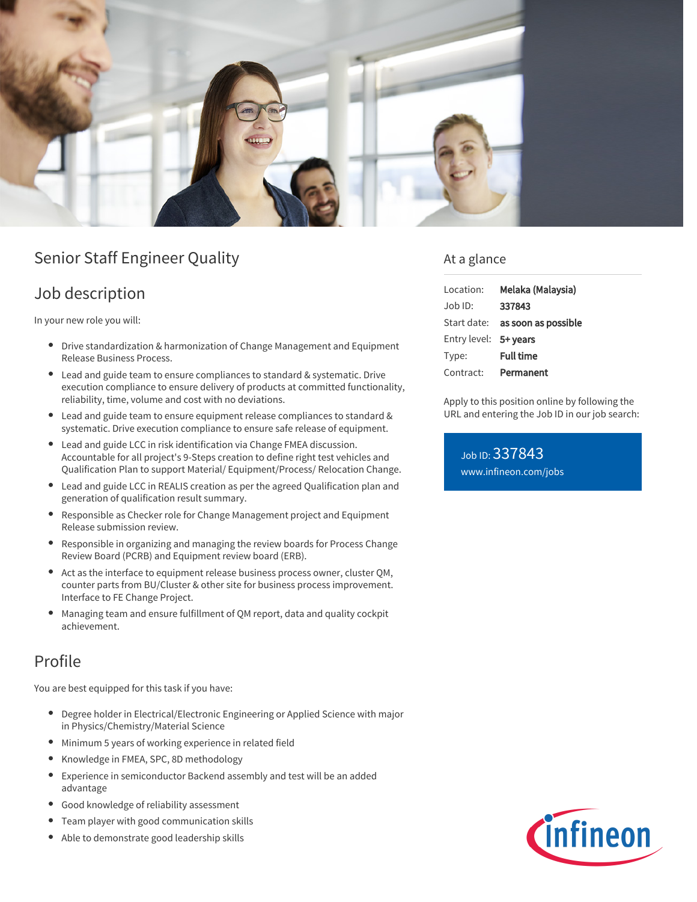

# Senior Staff Engineer Quality

### Job description

In your new role you will:

- $\bullet$ Drive standardization & harmonization of Change Management and Equipment Release Business Process.
- Lead and guide team to ensure compliances to standard & systematic. Drive execution compliance to ensure delivery of products at committed functionality, reliability, time, volume and cost with no deviations.
- Lead and guide team to ensure equipment release compliances to standard & systematic. Drive execution compliance to ensure safe release of equipment.
- Lead and guide LCC in risk identification via Change FMEA discussion. Accountable for all project's 9-Steps creation to define right test vehicles and Qualification Plan to support Material/ Equipment/Process/ Relocation Change.
- Lead and guide LCC in REALIS creation as per the agreed Qualification plan and generation of qualification result summary.
- Responsible as Checker role for Change Management project and Equipment Release submission review.
- Responsible in organizing and managing the review boards for Process Change Review Board (PCRB) and Equipment review board (ERB).
- Act as the interface to equipment release business process owner, cluster QM, counter parts from BU/Cluster & other site for business process improvement. Interface to FE Change Project.
- Managing team and ensure fulfillment of QM report, data and quality cockpit achievement.

## Profile

You are best equipped for this task if you have:

- Degree holder in Electrical/Electronic Engineering or Applied Science with major in Physics/Chemistry/Material Science
- Minimum 5 years of working experience in related field
- Knowledge in FMEA, SPC, 8D methodology  $\bullet$
- Experience in semiconductor Backend assembly and test will be an added advantage
- Good knowledge of reliability assessment
- Team player with good communication skills
- Able to demonstrate good leadership skills

### At a glance

| Location:             | Melaka (Malaysia)                      |
|-----------------------|----------------------------------------|
| $Job$ ID:             | 337843                                 |
|                       | Start date: <b>as soon as possible</b> |
| Entry level: 5+ years |                                        |
| Type:                 | <b>Full time</b>                       |
| Contract:             | Permanent                              |

Apply to this position online by following the URL and entering the Job ID in our job search:

Job ID: 337843 [www.infineon.com/jobs](https://www.infineon.com/jobs)